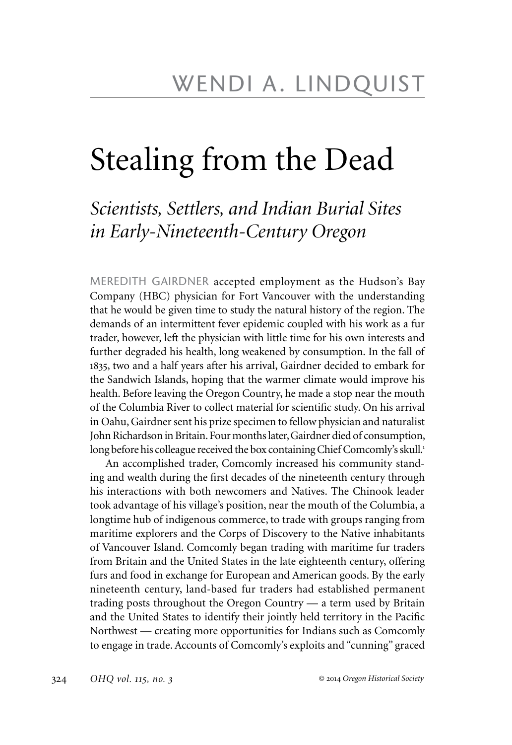## Stealing from the Dead

*Scientists, Settlers, and Indian Burial Sites in Early-Nineteenth-Century Oregon* 

MEREDITH GAIRDNER accepted employment as the Hudson's Bay Company (HBC) physician for Fort Vancouver with the understanding that he would be given time to study the natural history of the region. The demands of an intermittent fever epidemic coupled with his work as a fur trader, however, left the physician with little time for his own interests and further degraded his health, long weakened by consumption. In the fall of 1835, two and a half years after his arrival, Gairdner decided to embark for the Sandwich Islands, hoping that the warmer climate would improve his health. Before leaving the Oregon Country, he made a stop near the mouth of the Columbia River to collect material for scientific study. On his arrival in Oahu, Gairdner sent his prize specimen to fellow physician and naturalist John Richardson in Britain. Four months later, Gairdner died of consumption, long before his colleague received the box containing Chief Comcomly's skull.<sup>1</sup>

An accomplished trader, Comcomly increased his community standing and wealth during the first decades of the nineteenth century through his interactions with both newcomers and Natives. The Chinook leader took advantage of his village's position, near the mouth of the Columbia, a longtime hub of indigenous commerce, to trade with groups ranging from maritime explorers and the Corps of Discovery to the Native inhabitants of Vancouver Island. Comcomly began trading with maritime fur traders from Britain and the United States in the late eighteenth century, offering furs and food in exchange for European and American goods. By the early nineteenth century, land-based fur traders had established permanent trading posts throughout the Oregon Country — a term used by Britain and the United States to identify their jointly held territory in the Pacific Northwest — creating more opportunities for Indians such as Comcomly to engage in trade. Accounts of Comcomly's exploits and "cunning" graced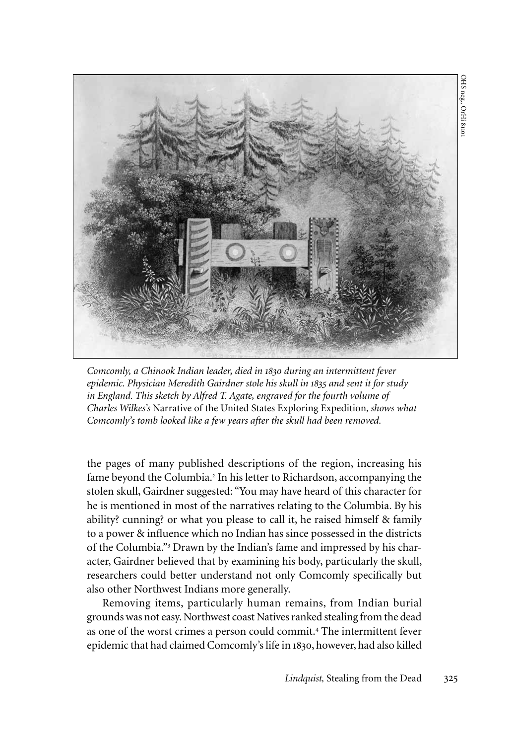

*Comcomly, a Chinook Indian leader, died in 1830 during an intermittent fever epidemic. Physician Meredith Gairdner stole his skull in 1835 and sent it for study*  in England. This sketch by Alfred T. Agate, engraved for the fourth volume of *Charles Wilkes's* Narrative of the United States Exploring Expedition, *shows what Comcomly's tomb looked like a few years after the skull had been removed.* 

the pages of many published descriptions of the region, increasing his fame beyond the Columbia.<sup>2</sup> In his letter to Richardson, accompanying the stolen skull, Gairdner suggested: "You may have heard of this character for he is mentioned in most of the narratives relating to the Columbia. By his ability? cunning? or what you please to call it, he raised himself & family to a power & influence which no Indian has since possessed in the districts of the Columbia."<sup>3</sup> Drawn by the Indian's fame and impressed by his character, Gairdner believed that by examining his body, particularly the skull, researchers could better understand not only Comcomly specifically but also other Northwest Indians more generally.

Removing items, particularly human remains, from Indian burial grounds was not easy. Northwest coast Natives ranked stealing from the dead as one of the worst crimes a person could commit.<sup>4</sup> The intermittent fever epidemic that had claimed Comcomly's life in 1830, however, had also killed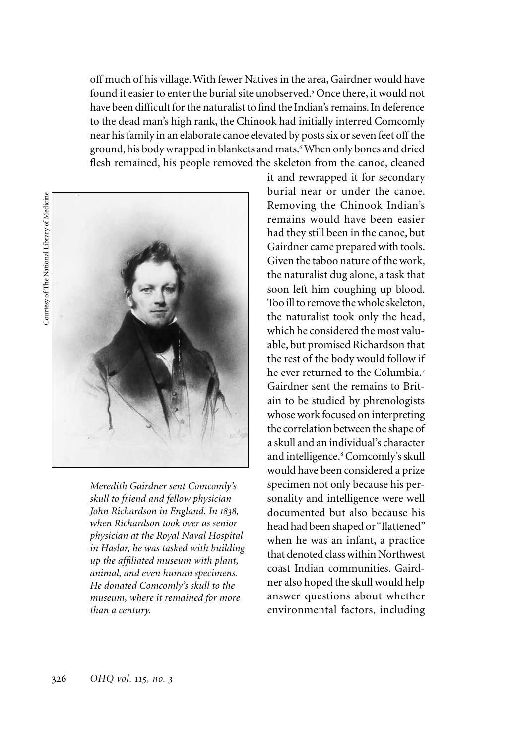off much of his village. With fewer Natives in the area, Gairdner would have found it easier to enter the burial site unobserved.<sup>5</sup> Once there, it would not have been difficult for the naturalist to find the Indian's remains. In deference to the dead man's high rank, the Chinook had initially interred Comcomly near his family in an elaborate canoe elevated by posts six or seven feet off the ground, his body wrapped in blankets and mats.<sup>6</sup> When only bones and dried flesh remained, his people removed the skeleton from the canoe, cleaned

Courtesy of The National Library of Medicine Courtesy of The National Library of Medicine



*Meredith Gairdner sent Comcomly's skull to friend and fellow physician John Richardson in England. In 1838, when Richardson took over as senior physician at the Royal Naval Hospital in Haslar, he was tasked with building up the affiliated museum with plant, animal, and even human specimens. He donated Comcomly's skull to the museum, where it remained for more than a century.*

it and rewrapped it for secondary burial near or under the canoe. Removing the Chinook Indian's remains would have been easier had they still been in the canoe, but Gairdner came prepared with tools. Given the taboo nature of the work, the naturalist dug alone, a task that soon left him coughing up blood. Too ill to remove the whole skeleton, the naturalist took only the head, which he considered the most valuable, but promised Richardson that the rest of the body would follow if he ever returned to the Columbia.<sup>7</sup> Gairdner sent the remains to Britain to be studied by phrenologists whose work focused on interpreting the correlation between the shape of a skull and an individual's character and intelligence.<sup>8</sup> Comcomly's skull would have been considered a prize specimen not only because his personality and intelligence were well documented but also because his head had been shaped or "flattened" when he was an infant, a practice that denoted class within Northwest coast Indian communities. Gairdner also hoped the skull would help answer questions about whether environmental factors, including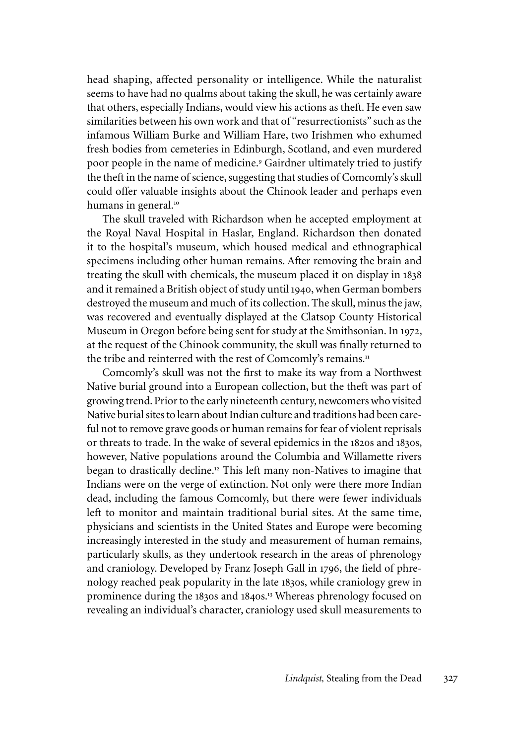head shaping, affected personality or intelligence. While the naturalist seems to have had no qualms about taking the skull, he was certainly aware that others, especially Indians, would view his actions as theft. He even saw similarities between his own work and that of "resurrectionists" such as the infamous William Burke and William Hare, two Irishmen who exhumed fresh bodies from cemeteries in Edinburgh, Scotland, and even murdered poor people in the name of medicine.<sup>9</sup> Gairdner ultimately tried to justify the theft in the name of science, suggesting that studies of Comcomly's skull could offer valuable insights about the Chinook leader and perhaps even humans in general.<sup>10</sup>

The skull traveled with Richardson when he accepted employment at the Royal Naval Hospital in Haslar, England. Richardson then donated it to the hospital's museum, which housed medical and ethnographical specimens including other human remains. After removing the brain and treating the skull with chemicals, the museum placed it on display in 1838 and it remained a British object of study until 1940, when German bombers destroyed the museum and much of its collection. The skull, minus the jaw, was recovered and eventually displayed at the Clatsop County Historical Museum in Oregon before being sent for study at the Smithsonian. In 1972, at the request of the Chinook community, the skull was finally returned to the tribe and reinterred with the rest of Comcomly's remains.<sup>11</sup>

Comcomly's skull was not the first to make its way from a Northwest Native burial ground into a European collection, but the theft was part of growing trend. Prior to the early nineteenth century, newcomers who visited Native burial sites to learn about Indian culture and traditions had been careful not to remove grave goods or human remains for fear of violent reprisals or threats to trade. In the wake of several epidemics in the 1820s and 1830s, however, Native populations around the Columbia and Willamette rivers began to drastically decline.<sup>12</sup> This left many non-Natives to imagine that Indians were on the verge of extinction. Not only were there more Indian dead, including the famous Comcomly, but there were fewer individuals left to monitor and maintain traditional burial sites. At the same time, physicians and scientists in the United States and Europe were becoming increasingly interested in the study and measurement of human remains, particularly skulls, as they undertook research in the areas of phrenology and craniology. Developed by Franz Joseph Gall in 1796, the field of phrenology reached peak popularity in the late 1830s, while craniology grew in prominence during the 1830s and 1840s.<sup>13</sup> Whereas phrenology focused on revealing an individual's character, craniology used skull measurements to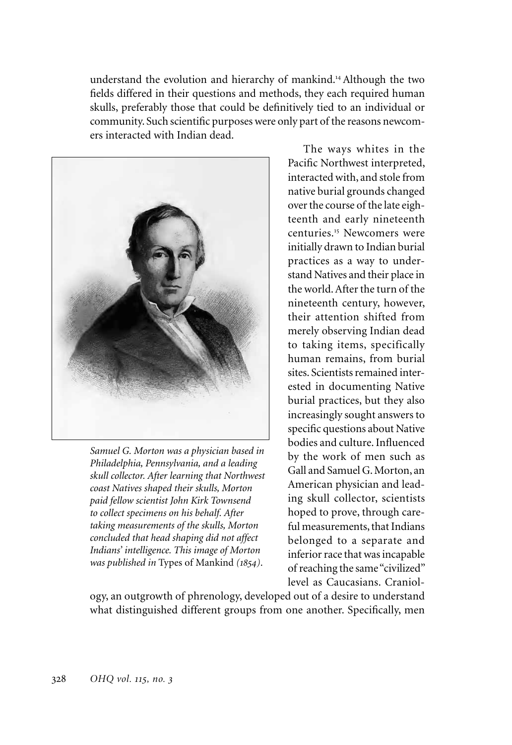understand the evolution and hierarchy of mankind.<sup>14</sup> Although the two fields differed in their questions and methods, they each required human skulls, preferably those that could be definitively tied to an individual or community. Such scientific purposes were only part of the reasons newcomers interacted with Indian dead.



*Samuel G. Morton was a physician based in Philadelphia, Pennsylvania, and a leading skull collector. After learning that Northwest coast Natives shaped their skulls, Morton paid fellow scientist John Kirk Townsend to collect specimens on his behalf. After taking measurements of the skulls, Morton concluded that head shaping did not affect Indians' intelligence. This image of Morton was published in* Types of Mankind *(1854)*.

The ways whites in the Pacific Northwest interpreted, interacted with, and stole from native burial grounds changed over the course of the late eighteenth and early nineteenth centuries.<sup>15</sup> Newcomers were initially drawn to Indian burial practices as a way to understand Natives and their place in the world. After the turn of the nineteenth century, however, their attention shifted from merely observing Indian dead to taking items, specifically human remains, from burial sites. Scientists remained interested in documenting Native burial practices, but they also increasingly sought answers to specific questions about Native bodies and culture. Influenced by the work of men such as Gall and Samuel G. Morton, an American physician and leading skull collector, scientists hoped to prove, through careful measurements, that Indians belonged to a separate and inferior race that was incapable of reaching the same "civilized" level as Caucasians. Craniol-

ogy, an outgrowth of phrenology, developed out of a desire to understand what distinguished different groups from one another. Specifically, men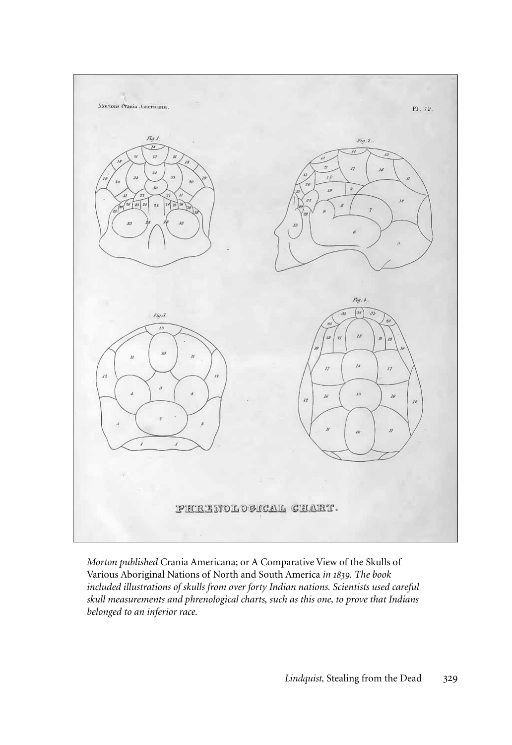

*Morton published* Crania Americana; or A Comparative View of the Skulls of Various Aboriginal Nations of North and South America *in 1839. The book*  included illustrations of skulls from over forty Indian nations. Scientists used careful *skull measurements and phrenological charts, such as this one, to prove that Indians belonged to an inferior race.*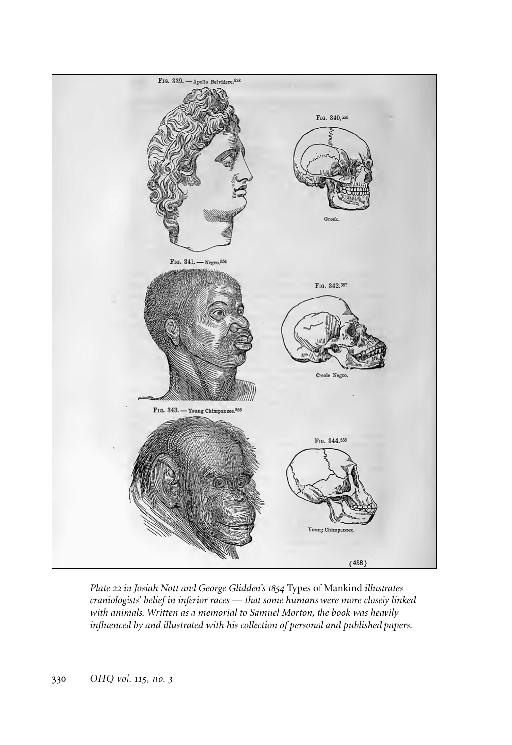

*Plate 22 in Josiah Nott and George Glidden's 1854* Types of Mankind *illustrates craniologists' belief in inferior races — that some humans were more closely linked with animals. Written as a memorial to Samuel Morton, the book was heavily influenced by and illustrated with his collection of personal and published papers.*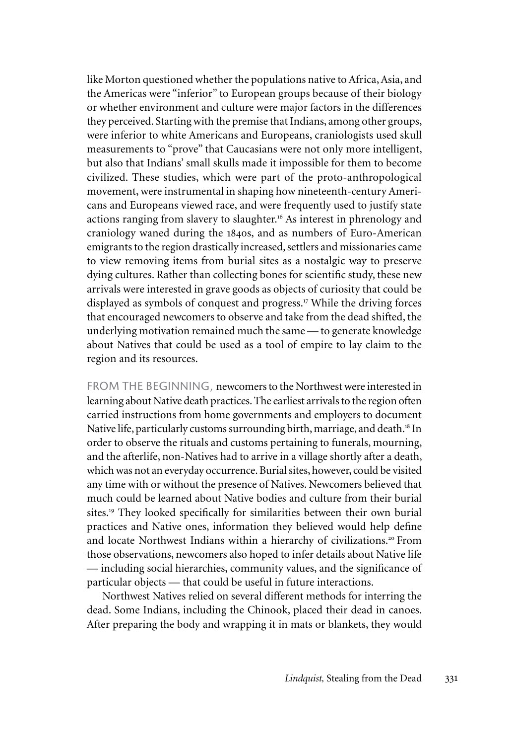like Morton questioned whether the populations native to Africa, Asia, and the Americas were "inferior" to European groups because of their biology or whether environment and culture were major factors in the differences they perceived. Starting with the premise that Indians, among other groups, were inferior to white Americans and Europeans, craniologists used skull measurements to "prove" that Caucasians were not only more intelligent, but also that Indians' small skulls made it impossible for them to become civilized. These studies, which were part of the proto-anthropological movement, were instrumental in shaping how nineteenth-century Americans and Europeans viewed race, and were frequently used to justify state actions ranging from slavery to slaughter.<sup>16</sup> As interest in phrenology and craniology waned during the 1840s, and as numbers of Euro-American emigrants to the region drastically increased, settlers and missionaries came to view removing items from burial sites as a nostalgic way to preserve dying cultures. Rather than collecting bones for scientific study, these new arrivals were interested in grave goods as objects of curiosity that could be displayed as symbols of conquest and progress.<sup>17</sup> While the driving forces that encouraged newcomers to observe and take from the dead shifted, the underlying motivation remained much the same — to generate knowledge about Natives that could be used as a tool of empire to lay claim to the region and its resources.

FROM THE BEGINNING, newcomers to the Northwest were interested in learning about Native death practices. The earliest arrivals to the region often carried instructions from home governments and employers to document Native life, particularly customs surrounding birth, marriage, and death.<sup>18</sup> In order to observe the rituals and customs pertaining to funerals, mourning, and the afterlife, non-Natives had to arrive in a village shortly after a death, which was not an everyday occurrence. Burial sites, however, could be visited any time with or without the presence of Natives. Newcomers believed that much could be learned about Native bodies and culture from their burial sites.<sup>19</sup> They looked specifically for similarities between their own burial practices and Native ones, information they believed would help define and locate Northwest Indians within a hierarchy of civilizations.<sup>20</sup> From those observations, newcomers also hoped to infer details about Native life — including social hierarchies, community values, and the significance of particular objects — that could be useful in future interactions.

Northwest Natives relied on several different methods for interring the dead. Some Indians, including the Chinook, placed their dead in canoes. After preparing the body and wrapping it in mats or blankets, they would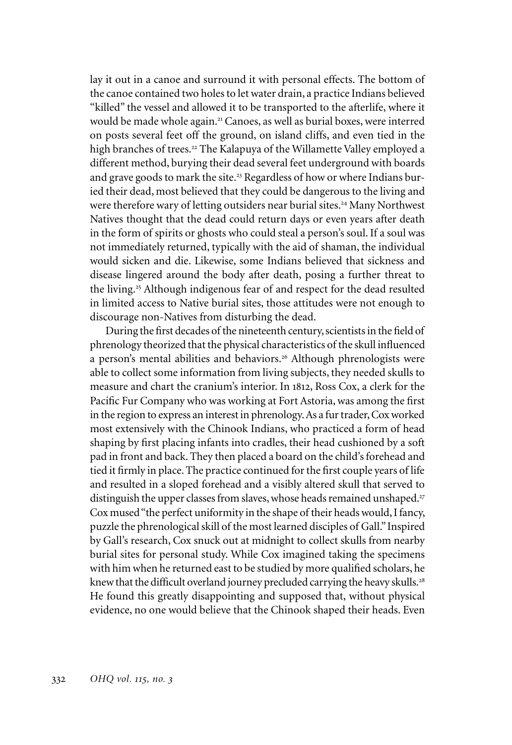lay it out in a canoe and surround it with personal effects. The bottom of the canoe contained two holes to let water drain, a practice Indians believed "killed" the vessel and allowed it to be transported to the afterlife, where it would be made whole again.<sup>21</sup> Canoes, as well as burial boxes, were interred on posts several feet off the ground, on island cliffs, and even tied in the high branches of trees.<sup>22</sup> The Kalapuya of the Willamette Valley employed a different method, burying their dead several feet underground with boards and grave goods to mark the site.<sup>23</sup> Regardless of how or where Indians buried their dead, most believed that they could be dangerous to the living and were therefore wary of letting outsiders near burial sites.<sup>24</sup> Many Northwest Natives thought that the dead could return days or even years after death in the form of spirits or ghosts who could steal a person's soul. If a soul was not immediately returned, typically with the aid of shaman, the individual would sicken and die. Likewise, some Indians believed that sickness and disease lingered around the body after death, posing a further threat to the living.<sup>25</sup> Although indigenous fear of and respect for the dead resulted in limited access to Native burial sites, those attitudes were not enough to discourage non-Natives from disturbing the dead.

During the first decades of the nineteenth century, scientists in the field of phrenology theorized that the physical characteristics of the skull influenced a person's mental abilities and behaviors.<sup>26</sup> Although phrenologists were able to collect some information from living subjects, they needed skulls to measure and chart the cranium's interior. In 1812, Ross Cox, a clerk for the Pacific Fur Company who was working at Fort Astoria, was among the first in the region to express an interest in phrenology. As a fur trader, Cox worked most extensively with the Chinook Indians, who practiced a form of head shaping by first placing infants into cradles, their head cushioned by a soft pad in front and back. They then placed a board on the child's forehead and tied it firmly in place. The practice continued for the first couple years of life and resulted in a sloped forehead and a visibly altered skull that served to distinguish the upper classes from slaves, whose heads remained unshaped.<sup>27</sup> Cox mused "the perfect uniformity in the shape of their heads would, I fancy, puzzle the phrenological skill of the most learned disciples of Gall." Inspired by Gall's research, Cox snuck out at midnight to collect skulls from nearby burial sites for personal study. While Cox imagined taking the specimens with him when he returned east to be studied by more qualified scholars, he knew that the difficult overland journey precluded carrying the heavy skulls.<sup>28</sup> He found this greatly disappointing and supposed that, without physical evidence, no one would believe that the Chinook shaped their heads. Even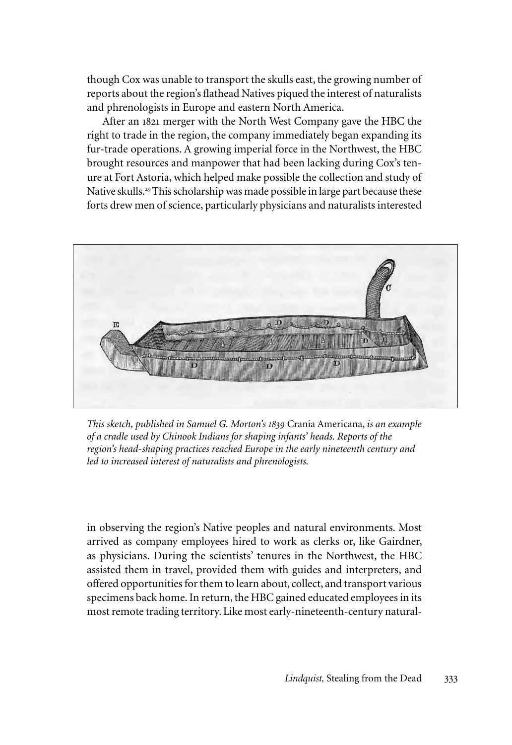though Cox was unable to transport the skulls east, the growing number of reports about the region's flathead Natives piqued the interest of naturalists and phrenologists in Europe and eastern North America.

After an 1821 merger with the North West Company gave the HBC the right to trade in the region, the company immediately began expanding its fur-trade operations. A growing imperial force in the Northwest, the HBC brought resources and manpower that had been lacking during Cox's tenure at Fort Astoria, which helped make possible the collection and study of Native skulls.<sup>29</sup>This scholarship was made possible in large part because these forts drew men of science, particularly physicians and naturalists interested



*This sketch, published in Samuel G. Morton's 1839* Crania Americana, *is an example of a cradle used by Chinook Indians for shaping infants' heads. Reports of the region's head-shaping practices reached Europe in the early nineteenth century and led to increased interest of naturalists and phrenologists.* 

in observing the region's Native peoples and natural environments. Most arrived as company employees hired to work as clerks or, like Gairdner, as physicians. During the scientists' tenures in the Northwest, the HBC assisted them in travel, provided them with guides and interpreters, and offered opportunities for them to learn about, collect, and transport various specimens back home. In return, the HBC gained educated employees in its most remote trading territory. Like most early-nineteenth-century natural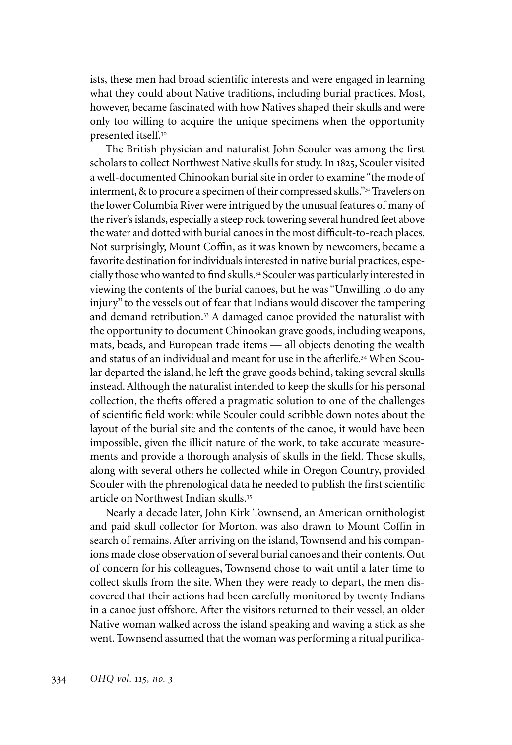ists, these men had broad scientific interests and were engaged in learning what they could about Native traditions, including burial practices. Most, however, became fascinated with how Natives shaped their skulls and were only too willing to acquire the unique specimens when the opportunity presented itself.<sup>30</sup>

The British physician and naturalist John Scouler was among the first scholars to collect Northwest Native skulls for study. In 1825, Scouler visited a well-documented Chinookan burial site in order to examine "the mode of interment, & to procure a specimen of their compressed skulls."<sup>31</sup> Travelers on the lower Columbia River were intrigued by the unusual features of many of the river's islands, especially a steep rock towering several hundred feet above the water and dotted with burial canoes in the most difficult-to-reach places. Not surprisingly, Mount Coffin, as it was known by newcomers, became a favorite destination for individuals interested in native burial practices, especially those who wanted to find skulls.<sup>32</sup> Scouler was particularly interested in viewing the contents of the burial canoes, but he was "Unwilling to do any injury" to the vessels out of fear that Indians would discover the tampering and demand retribution.<sup>33</sup> A damaged canoe provided the naturalist with the opportunity to document Chinookan grave goods, including weapons, mats, beads, and European trade items — all objects denoting the wealth and status of an individual and meant for use in the afterlife.34 When Scoular departed the island, he left the grave goods behind, taking several skulls instead. Although the naturalist intended to keep the skulls for his personal collection, the thefts offered a pragmatic solution to one of the challenges of scientific field work: while Scouler could scribble down notes about the layout of the burial site and the contents of the canoe, it would have been impossible, given the illicit nature of the work, to take accurate measurements and provide a thorough analysis of skulls in the field. Those skulls, along with several others he collected while in Oregon Country, provided Scouler with the phrenological data he needed to publish the first scientific article on Northwest Indian skulls.<sup>35</sup>

Nearly a decade later, John Kirk Townsend, an American ornithologist and paid skull collector for Morton, was also drawn to Mount Coffin in search of remains. After arriving on the island, Townsend and his companions made close observation of several burial canoes and their contents. Out of concern for his colleagues, Townsend chose to wait until a later time to collect skulls from the site. When they were ready to depart, the men discovered that their actions had been carefully monitored by twenty Indians in a canoe just offshore. After the visitors returned to their vessel, an older Native woman walked across the island speaking and waving a stick as she went. Townsend assumed that the woman was performing a ritual purifica-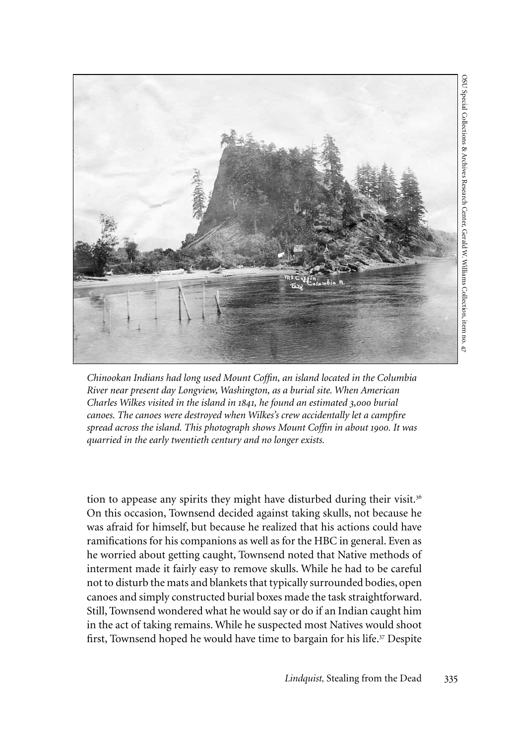

*Chinookan Indians had long used Mount Coffin, an island located in the Columbia River near present day Longview, Washington, as a burial site. When American Charles Wilkes visited in the island in 1841, he found an estimated 3,000 burial canoes. The canoes were destroyed when Wilkes's crew accidentally let a campfire spread across the island. This photograph shows Mount Coffin in about 1900. It was quarried in the early twentieth century and no longer exists.*

tion to appease any spirits they might have disturbed during their visit.<sup>36</sup> On this occasion, Townsend decided against taking skulls, not because he was afraid for himself, but because he realized that his actions could have ramifications for his companions as well as for the HBC in general. Even as he worried about getting caught, Townsend noted that Native methods of interment made it fairly easy to remove skulls. While he had to be careful not to disturb the mats and blankets that typically surrounded bodies, open canoes and simply constructed burial boxes made the task straightforward. Still, Townsend wondered what he would say or do if an Indian caught him in the act of taking remains. While he suspected most Natives would shoot first, Townsend hoped he would have time to bargain for his life.<sup>37</sup> Despite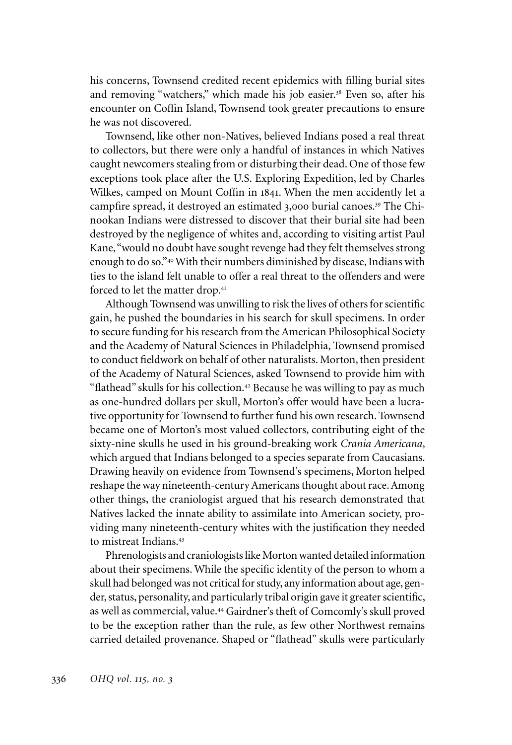his concerns, Townsend credited recent epidemics with filling burial sites and removing "watchers," which made his job easier.<sup>38</sup> Even so, after his encounter on Coffin Island, Townsend took greater precautions to ensure he was not discovered.

Townsend, like other non-Natives, believed Indians posed a real threat to collectors, but there were only a handful of instances in which Natives caught newcomers stealing from or disturbing their dead. One of those few exceptions took place after the U.S. Exploring Expedition, led by Charles Wilkes, camped on Mount Coffin in 1841. When the men accidently let a campfire spread, it destroyed an estimated 3,000 burial canoes.<sup>39</sup> The Chinookan Indians were distressed to discover that their burial site had been destroyed by the negligence of whites and, according to visiting artist Paul Kane, "would no doubt have sought revenge had they felt themselves strong enough to do so."<sup>40</sup> With their numbers diminished by disease, Indians with ties to the island felt unable to offer a real threat to the offenders and were forced to let the matter drop.<sup>41</sup>

Although Townsend was unwilling to risk the lives of others for scientific gain, he pushed the boundaries in his search for skull specimens. In order to secure funding for his research from the American Philosophical Society and the Academy of Natural Sciences in Philadelphia, Townsend promised to conduct fieldwork on behalf of other naturalists. Morton, then president of the Academy of Natural Sciences, asked Townsend to provide him with "flathead" skulls for his collection.<sup>42</sup> Because he was willing to pay as much as one-hundred dollars per skull, Morton's offer would have been a lucrative opportunity for Townsend to further fund his own research. Townsend became one of Morton's most valued collectors, contributing eight of the sixty-nine skulls he used in his ground-breaking work *Crania Americana*, which argued that Indians belonged to a species separate from Caucasians. Drawing heavily on evidence from Townsend's specimens, Morton helped reshape the way nineteenth-century Americans thought about race. Among other things, the craniologist argued that his research demonstrated that Natives lacked the innate ability to assimilate into American society, providing many nineteenth-century whites with the justification they needed to mistreat Indians.<sup>43</sup>

Phrenologists and craniologists like Morton wanted detailed information about their specimens. While the specific identity of the person to whom a skull had belonged was not critical for study, any information about age, gender, status, personality, and particularly tribal origin gave it greater scientific, as well as commercial, value.<sup>44</sup> Gairdner's theft of Comcomly's skull proved to be the exception rather than the rule, as few other Northwest remains carried detailed provenance. Shaped or "flathead" skulls were particularly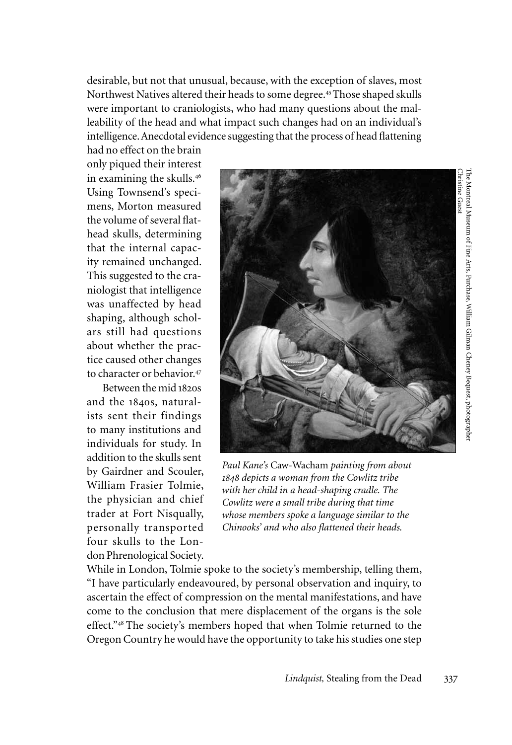desirable, but not that unusual, because, with the exception of slaves, most Northwest Natives altered their heads to some degree.<sup>45</sup>Those shaped skulls were important to craniologists, who had many questions about the malleability of the head and what impact such changes had on an individual's intelligence. Anecdotal evidence suggesting that the process of head flattening

had no effect on the brain only piqued their interest in examining the skulls.<sup>46</sup> Using Townsend's specimens, Morton measured the volume of several flathead skulls, determining that the internal capacity remained unchanged. This suggested to the craniologist that intelligence was unaffected by head shaping, although scholars still had questions about whether the practice caused other changes to character or behavior.<sup>47</sup>

Between the mid 1820s and the 1840s, naturalists sent their findings to many institutions and individuals for study. In addition to the skulls sent by Gairdner and Scouler, William Frasier Tolmie, the physician and chief trader at Fort Nisqually, personally transported four skulls to the London Phrenological Society.



*Paul Kane's* Caw-Wacham *painting from about 1848 depicts a woman from the Cowlitz tribe with her child in a head-shaping cradle. The Cowlitz were a small tribe during that time whose members spoke a language similar to the Chinooks' and who also flattened their heads.* 

While in London, Tolmie spoke to the society's membership, telling them, "I have particularly endeavoured, by personal observation and inquiry, to ascertain the effect of compression on the mental manifestations, and have come to the conclusion that mere displacement of the organs is the sole effect."<sup>48</sup> The society's members hoped that when Tolmie returned to the Oregon Country he would have the opportunity to take his studies one step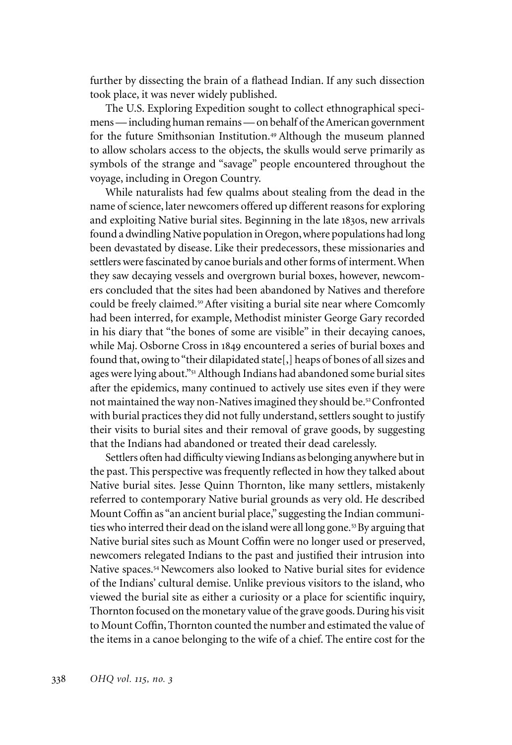further by dissecting the brain of a flathead Indian. If any such dissection took place, it was never widely published.

The U.S. Exploring Expedition sought to collect ethnographical specimens — including human remains — on behalf of the American government for the future Smithsonian Institution.<sup>49</sup> Although the museum planned to allow scholars access to the objects, the skulls would serve primarily as symbols of the strange and "savage" people encountered throughout the voyage, including in Oregon Country.

While naturalists had few qualms about stealing from the dead in the name of science, later newcomers offered up different reasons for exploring and exploiting Native burial sites. Beginning in the late 1830s, new arrivals found a dwindling Native population in Oregon, where populations had long been devastated by disease. Like their predecessors, these missionaries and settlers were fascinated by canoe burials and other forms of interment. When they saw decaying vessels and overgrown burial boxes, however, newcomers concluded that the sites had been abandoned by Natives and therefore could be freely claimed.<sup>50</sup> After visiting a burial site near where Comcomly had been interred, for example, Methodist minister George Gary recorded in his diary that "the bones of some are visible" in their decaying canoes, while Maj. Osborne Cross in 1849 encountered a series of burial boxes and found that, owing to "their dilapidated state[,] heaps of bones of all sizes and ages were lying about."<sup>51</sup> Although Indians had abandoned some burial sites after the epidemics, many continued to actively use sites even if they were not maintained the way non-Natives imagined they should be.<sup>52</sup> Confronted with burial practices they did not fully understand, settlers sought to justify their visits to burial sites and their removal of grave goods, by suggesting that the Indians had abandoned or treated their dead carelessly.

Settlers often had difficulty viewing Indians as belonging anywhere but in the past. This perspective was frequently reflected in how they talked about Native burial sites. Jesse Quinn Thornton, like many settlers, mistakenly referred to contemporary Native burial grounds as very old. He described Mount Coffin as "an ancient burial place," suggesting the Indian communities who interred their dead on the island were all long gone.<sup>53</sup> By arguing that Native burial sites such as Mount Coffin were no longer used or preserved, newcomers relegated Indians to the past and justified their intrusion into Native spaces.<sup>54</sup> Newcomers also looked to Native burial sites for evidence of the Indians' cultural demise. Unlike previous visitors to the island, who viewed the burial site as either a curiosity or a place for scientific inquiry, Thornton focused on the monetary value of the grave goods. During his visit to Mount Coffin, Thornton counted the number and estimated the value of the items in a canoe belonging to the wife of a chief. The entire cost for the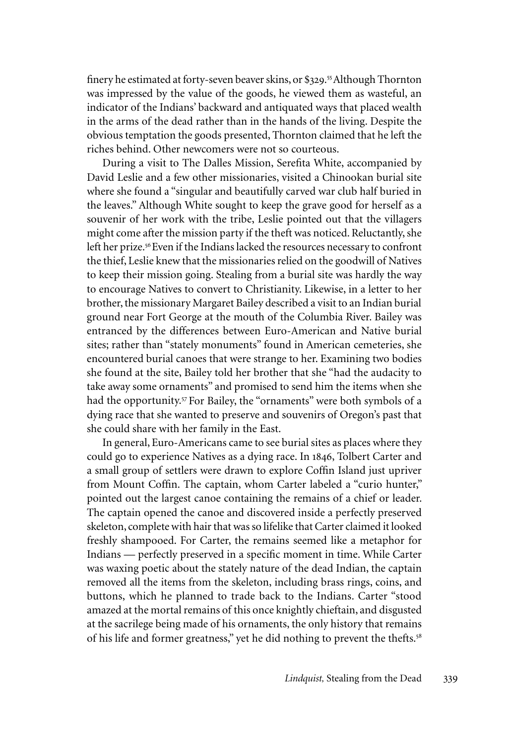finery he estimated at forty-seven beaver skins, or \$329. <sup>55</sup>Although Thornton was impressed by the value of the goods, he viewed them as wasteful, an indicator of the Indians' backward and antiquated ways that placed wealth in the arms of the dead rather than in the hands of the living. Despite the obvious temptation the goods presented, Thornton claimed that he left the riches behind. Other newcomers were not so courteous.

During a visit to The Dalles Mission, Serefita White, accompanied by David Leslie and a few other missionaries, visited a Chinookan burial site where she found a "singular and beautifully carved war club half buried in the leaves." Although White sought to keep the grave good for herself as a souvenir of her work with the tribe, Leslie pointed out that the villagers might come after the mission party if the theft was noticed. Reluctantly, she left her prize.<sup>56</sup> Even if the Indians lacked the resources necessary to confront the thief, Leslie knew that the missionaries relied on the goodwill of Natives to keep their mission going. Stealing from a burial site was hardly the way to encourage Natives to convert to Christianity. Likewise, in a letter to her brother, the missionary Margaret Bailey described a visit to an Indian burial ground near Fort George at the mouth of the Columbia River. Bailey was entranced by the differences between Euro-American and Native burial sites; rather than "stately monuments" found in American cemeteries, she encountered burial canoes that were strange to her. Examining two bodies she found at the site, Bailey told her brother that she "had the audacity to take away some ornaments" and promised to send him the items when she had the opportunity.<sup>57</sup> For Bailey, the "ornaments" were both symbols of a dying race that she wanted to preserve and souvenirs of Oregon's past that she could share with her family in the East.

In general, Euro-Americans came to see burial sites as places where they could go to experience Natives as a dying race. In 1846, Tolbert Carter and a small group of settlers were drawn to explore Coffin Island just upriver from Mount Coffin. The captain, whom Carter labeled a "curio hunter," pointed out the largest canoe containing the remains of a chief or leader. The captain opened the canoe and discovered inside a perfectly preserved skeleton, complete with hair that was so lifelike that Carter claimed it looked freshly shampooed. For Carter, the remains seemed like a metaphor for Indians — perfectly preserved in a specific moment in time. While Carter was waxing poetic about the stately nature of the dead Indian, the captain removed all the items from the skeleton, including brass rings, coins, and buttons, which he planned to trade back to the Indians. Carter "stood amazed at the mortal remains of this once knightly chieftain, and disgusted at the sacrilege being made of his ornaments, the only history that remains of his life and former greatness," yet he did nothing to prevent the thefts.<sup>58</sup>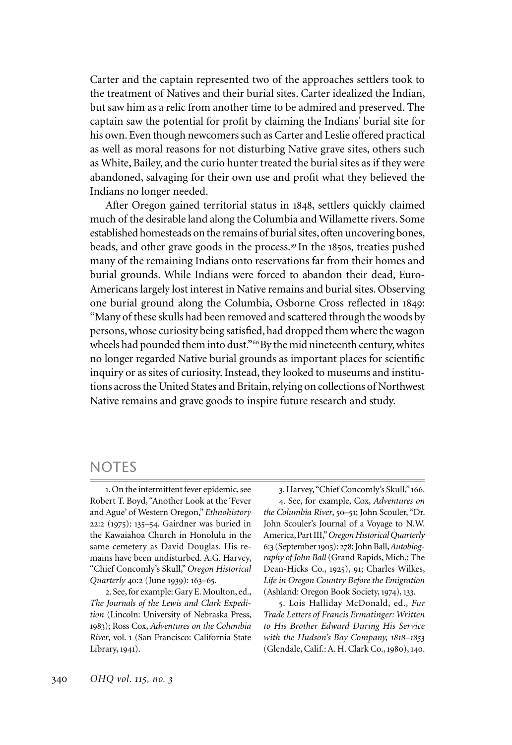Carter and the captain represented two of the approaches settlers took to the treatment of Natives and their burial sites. Carter idealized the Indian, but saw him as a relic from another time to be admired and preserved. The captain saw the potential for profit by claiming the Indians' burial site for his own. Even though newcomers such as Carter and Leslie offered practical as well as moral reasons for not disturbing Native grave sites, others such as White, Bailey, and the curio hunter treated the burial sites as if they were abandoned, salvaging for their own use and profit what they believed the Indians no longer needed.

After Oregon gained territorial status in 1848, settlers quickly claimed much of the desirable land along the Columbia and Willamette rivers. Some established homesteads on the remains of burial sites, often uncovering bones, beads, and other grave goods in the process.<sup>59</sup> In the 1850s, treaties pushed many of the remaining Indians onto reservations far from their homes and burial grounds. While Indians were forced to abandon their dead, Euro-Americans largely lost interest in Native remains and burial sites. Observing one burial ground along the Columbia, Osborne Cross reflected in 1849: "Many of these skulls had been removed and scattered through the woods by persons, whose curiosity being satisfied, had dropped them where the wagon wheels had pounded them into dust."<sup>60</sup>By the mid nineteenth century, whites no longer regarded Native burial grounds as important places for scientific inquiry or as sites of curiosity. Instead, they looked to museums and institutions across the United States and Britain, relying on collections of Northwest Native remains and grave goods to inspire future research and study.

## **NOTES**

1. On the intermittent fever epidemic, see Robert T. Boyd, "Another Look at the 'Fever and Ague' of Western Oregon," *Ethnohistory* 22:2 (1975): 135–54. Gairdner was buried in the Kawaiahoa Church in Honolulu in the same cemetery as David Douglas. His remains have been undisturbed. A.G. Harvey, "Chief Concomly's Skull," *Oregon Historical Quarterly* 40:2 (June 1939): 163–65.

2. See, for example: Gary E. Moulton, ed., *The Journals of the Lewis and Clark Expedition* (Lincoln: University of Nebraska Press, 1983); Ross Cox, *Adventures on the Columbia River*, vol. 1 (San Francisco: California State Library, 1941).

3. Harvey, "Chief Concomly's Skull," 166.

4. See, for example, Cox, *Adventures on the Columbia River*, 50–51; John Scouler, "Dr. John Scouler's Journal of a Voyage to N.W. America, Part III," *Oregon Historical Quarterly* 6:3 (September 1905): 278; John Ball, *Autobiography of John Ball* (Grand Rapids, Mich.: The Dean-Hicks Co., 1925), 91; Charles Wilkes, *Life in Oregon Country Before the Emigration* (Ashland: Oregon Book Society, 1974), 133.

5. Lois Halliday McDonald, ed., *Fur Trade Letters of Francis Ermatinger: Written to His Brother Edward During His Service with the Hudson's Bay Company, 1818–1853* (Glendale, Calif.: A. H. Clark Co., 1980), 140.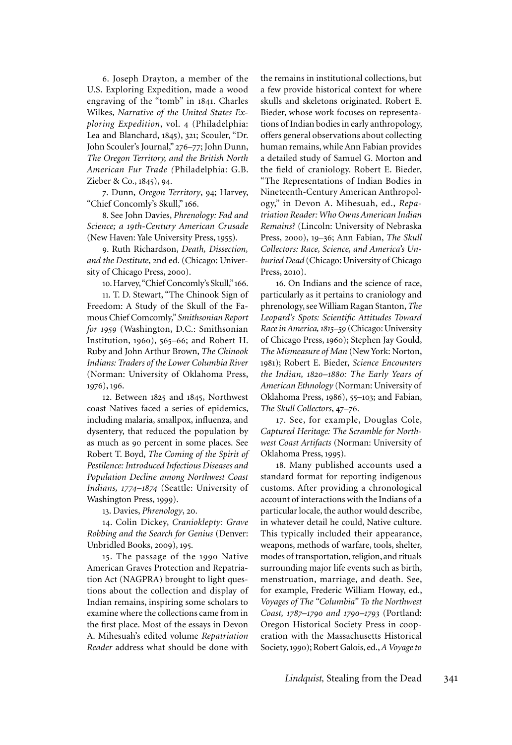6. Joseph Drayton, a member of the U.S. Exploring Expedition, made a wood engraving of the "tomb" in 1841. Charles Wilkes, *Narrative of the United States Exploring Expedition*, vol. 4 (Philadelphia: Lea and Blanchard, 1845), 321; Scouler, "Dr. John Scouler's Journal," 276–77; John Dunn, *The Oregon Territory, and the British North American Fur Trade (*Philadelphia: G.B. Zieber & Co., 1845), 94.

7. Dunn, *Oregon Territory*, 94; Harvey, "Chief Concomly's Skull," 166.

8. See John Davies, *Phrenology: Fad and Science; a 19th-Century American Crusade* (New Haven: Yale University Press, 1955).

9. Ruth Richardson, *Death, Dissection, and the Destitute*, 2nd ed. (Chicago: University of Chicago Press, 2000).

10. Harvey, "Chief Concomly's Skull," 166.

11. T. D. Stewart, "The Chinook Sign of Freedom: A Study of the Skull of the Famous Chief Comcomly," *Smithsonian Report for 1959* (Washington, D.C.: Smithsonian Institution, 1960), 565–66; and Robert H. Ruby and John Arthur Brown, *The Chinook Indians: Traders of the Lower Columbia River* (Norman: University of Oklahoma Press, 1976), 196.

12. Between 1825 and 1845, Northwest coast Natives faced a series of epidemics, including malaria, smallpox, influenza, and dysentery, that reduced the population by as much as 90 percent in some places. See Robert T. Boyd, *The Coming of the Spirit of Pestilence: Introduced Infectious Diseases and Population Decline among Northwest Coast Indians, 1774–1874* (Seattle: University of Washington Press, 1999).

13. Davies, *Phrenology*, 20.

14. Colin Dickey, *Cranioklepty: Grave Robbing and the Search for Genius* (Denver: Unbridled Books, 2009), 195.

15. The passage of the 1990 Native American Graves Protection and Repatriation Act (NAGPRA) brought to light questions about the collection and display of Indian remains, inspiring some scholars to examine where the collections came from in the first place. Most of the essays in Devon A. Mihesuah's edited volume *Repatriation Reader* address what should be done with the remains in institutional collections, but a few provide historical context for where skulls and skeletons originated. Robert E. Bieder, whose work focuses on representations of Indian bodies in early anthropology, offers general observations about collecting human remains, while Ann Fabian provides a detailed study of Samuel G. Morton and the field of craniology. Robert E. Bieder, "The Representations of Indian Bodies in Nineteenth-Century American Anthropology," in Devon A. Mihesuah, ed., *Repatriation Reader: Who Owns American Indian Remains?* (Lincoln: University of Nebraska Press, 2000), 19–36; Ann Fabian, *The Skull Collectors: Race, Science, and America's Unburied Dead* (Chicago: University of Chicago Press, 2010).

16. On Indians and the science of race, particularly as it pertains to craniology and phrenology, see William Ragan Stanton, *The Leopard's Spots: Scientific Attitudes Toward Race in America, 1815–59* (Chicago: University of Chicago Press, 1960); Stephen Jay Gould, *The Mismeasure of Man* (New York: Norton, 1981); Robert E. Bieder, *Science Encounters the Indian, 1820–1880: The Early Years of American Ethnology* (Norman: University of Oklahoma Press, 1986), 55–103; and Fabian, *The Skull Collectors*, 47–76.

17. See, for example, Douglas Cole, *Captured Heritage: The Scramble for Northwest Coast Artifacts* (Norman: University of Oklahoma Press, 1995).

18. Many published accounts used a standard format for reporting indigenous customs. After providing a chronological account of interactions with the Indians of a particular locale, the author would describe, in whatever detail he could, Native culture. This typically included their appearance, weapons, methods of warfare, tools, shelter, modes of transportation, religion, and rituals surrounding major life events such as birth, menstruation, marriage, and death. See, for example, Frederic William Howay, ed., *Voyages of The "Columbia" To the Northwest Coast, 1787–1790 and 1790–1793* (Portland: Oregon Historical Society Press in cooperation with the Massachusetts Historical Society, 1990); Robert Galois, ed., *A Voyage to*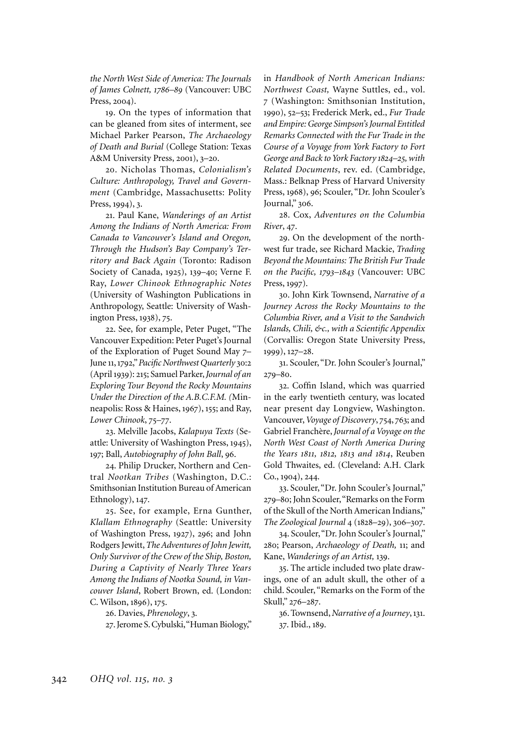*the North West Side of America: The Journals of James Colnett, 1786–89* (Vancouver: UBC Press, 2004).

19. On the types of information that can be gleaned from sites of interment, see Michael Parker Pearson, *The Archaeology of Death and Burial* (College Station: Texas A&M University Press, 2001), 3–20.

20. Nicholas Thomas, *Colonialism's Culture: Anthropology, Travel and Government* (Cambridge, Massachusetts: Polity Press, 1994), 3.

21. Paul Kane, *Wanderings of an Artist Among the Indians of North America: From Canada to Vancouver's Island and Oregon, Through the Hudson's Bay Company's Territory and Back Again* (Toronto: Radison Society of Canada, 1925), 139–40; Verne F. Ray, *Lower Chinook Ethnographic Notes* (University of Washington Publications in Anthropology, Seattle: University of Washington Press, 1938), 75.

22. See, for example, Peter Puget, "The Vancouver Expedition: Peter Puget's Journal of the Exploration of Puget Sound May 7– June 11, 1792," *Pacific Northwest Quarterly* 30:2 (April 1939): 215; Samuel Parker, *Journal of an Exploring Tour Beyond the Rocky Mountains Under the Direction of the A.B.C.F.M. (*Minneapolis: Ross & Haines, 1967), 155; and Ray, *Lower Chinook*, 75–77.

23. Melville Jacobs, *Kalapuya Texts* (Seattle: University of Washington Press, 1945), 197; Ball, *Autobiography of John Ball*, 96.

24. Philip Drucker, Northern and Central *Nootkan Tribes* (Washington, D.C.: Smithsonian Institution Bureau of American Ethnology), 147.

25. See, for example, Erna Gunther, *Klallam Ethnography* (Seattle: University of Washington Press, 1927), 296; and John Rodgers Jewitt, *The Adventures of John Jewitt, Only Survivor of the Crew of the Ship, Boston, During a Captivity of Nearly Three Years Among the Indians of Nootka Sound, in Vancouver Island*, Robert Brown, ed. (London: C. Wilson, 1896), 175.

26. Davies, *Phrenology*, 3.

27. Jerome S. Cybulski, "Human Biology,"

in *Handbook of North American Indians: Northwest Coast,* Wayne Suttles, ed., vol. 7 (Washington: Smithsonian Institution, 1990), 52–53; Frederick Merk, ed., *Fur Trade and Empire: George Simpson's Journal Entitled Remarks Connected with the Fur Trade in the Course of a Voyage from York Factory to Fort George and Back to York Factory 1824–25, with Related Documents*, rev. ed. (Cambridge, Mass.: Belknap Press of Harvard University Press, 1968), 96; Scouler, "Dr. John Scouler's Journal," 306.

28. Cox, *Adventures on the Columbia River*, 47.

29. On the development of the northwest fur trade, see Richard Mackie, *Trading Beyond the Mountains: The British Fur Trade on the Pacific, 1793–1843* (Vancouver: UBC Press, 1997).

30. John Kirk Townsend, *Narrative of a Journey Across the Rocky Mountains to the Columbia River, and a Visit to the Sandwich Islands, Chili, &c., with a Scientific Appendix* (Corvallis: Oregon State University Press, 1999), 127–28.

31. Scouler, "Dr. John Scouler's Journal," 279–80.

32. Coffin Island, which was quarried in the early twentieth century, was located near present day Longview, Washington. Vancouver, *Voyage of Discovery*, 754, 763; and Gabriel Franchère, *Journal of a Voyage on the North West Coast of North America During the Years 1811, 1812, 1813 and 1814*, Reuben Gold Thwaites, ed. (Cleveland: A.H. Clark Co., 1904), 244.

33. Scouler, "Dr. John Scouler's Journal," 279–80; John Scouler, "Remarks on the Form of the Skull of the North American Indians," *The Zoological Journal* 4 (1828–29), 306–307.

34. Scouler, "Dr. John Scouler's Journal," 280; Pearson, *Archaeology of Death,* 11; and Kane, *Wanderings of an Artist,* 139.

35. The article included two plate drawings, one of an adult skull, the other of a child. Scouler, "Remarks on the Form of the Skull," 276–287.

36. Townsend, *Narrative of a Journey*, 131. 37. Ibid., 189.